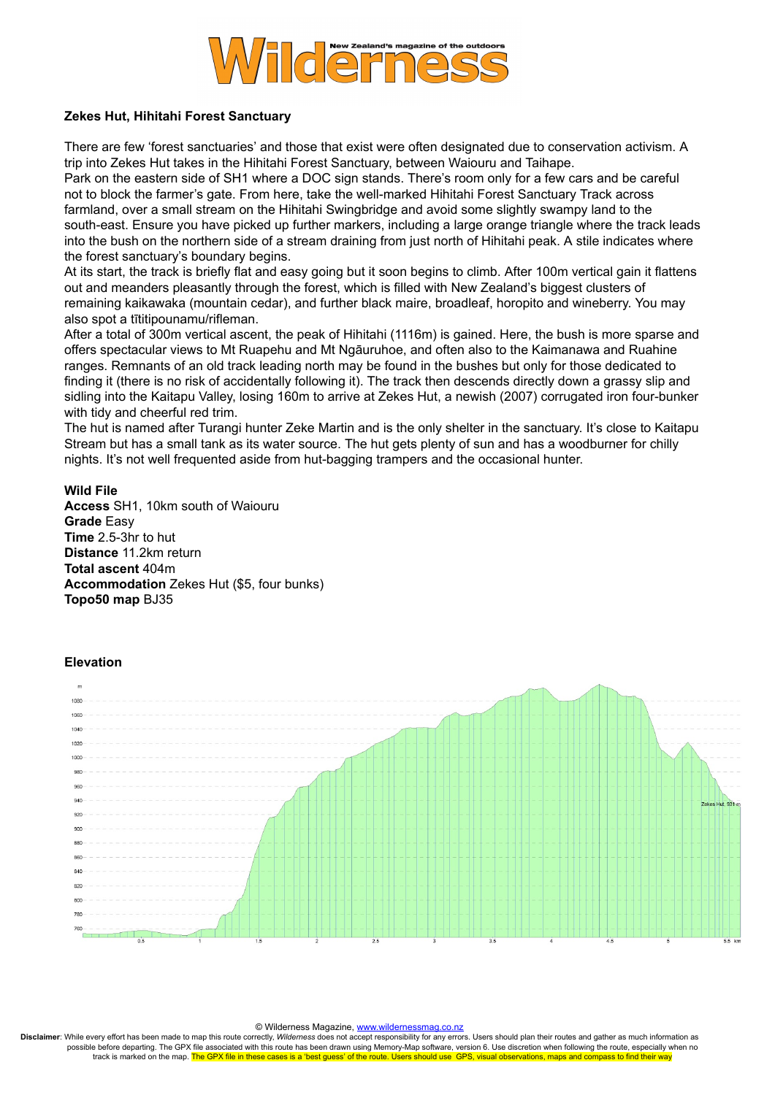

## **Zekes Hut, Hihitahi Forest Sanctuary**

There are few 'forest sanctuaries' and those that exist were often designated due to conservation activism. A trip into Zekes Hut takes in the Hihitahi Forest Sanctuary, between Waiouru and Taihape.

Park on the eastern side of SH1 where a DOC sign stands. There's room only for a few cars and be careful not to block the farmer's gate. From here, take the well-marked Hihitahi Forest Sanctuary Track across farmland, over a small stream on the Hihitahi Swingbridge and avoid some slightly swampy land to the south-east. Ensure you have picked up further markers, including a large orange triangle where the track leads into the bush on the northern side of a stream draining from just north of Hihitahi peak. A stile indicates where the forest sanctuary's boundary begins.

At its start, the track is briefly flat and easy going but it soon begins to climb. After 100m vertical gain it flattens out and meanders pleasantly through the forest, which is filled with New Zealand's biggest clusters of remaining kaikawaka (mountain cedar), and further black maire, broadleaf, horopito and wineberry. You may also spot a tītitipounamu/rifleman.

After a total of 300m vertical ascent, the peak of Hihitahi (1116m) is gained. Here, the bush is more sparse and offers spectacular views to Mt Ruapehu and Mt Ngāuruhoe, and often also to the Kaimanawa and Ruahine ranges. Remnants of an old track leading north may be found in the bushes but only for those dedicated to finding it (there is no risk of accidentally following it). The track then descends directly down a grassy slip and sidling into the Kaitapu Valley, losing 160m to arrive at Zekes Hut, a newish (2007) corrugated iron four-bunker with tidy and cheerful red trim.

The hut is named after Turangi hunter Zeke Martin and is the only shelter in the sanctuary. It's close to Kaitapu Stream but has a small tank as its water source. The hut gets plenty of sun and has a woodburner for chilly nights. It's not well frequented aside from hut-bagging trampers and the occasional hunter.

## **Wild File**

**Access** SH1, 10km south of Waiouru **Grade** Easy **Time** 2.5-3hr to hut **Distance** 11.2km return **Total ascent** 404m **Accommodation** Zekes Hut (\$5, four bunks) **Topo50 map** BJ35

## **Elevation**



## © Wilderness Magazine, [www.wildernessmag.co.nz](http://www.wildernessmag.co.nz/)

**Disclaimer**: While every effort has been made to map this route correctly, *Wilderness* does not accept responsibility for any errors. Users should plan their routes and gather as much information as possible before departing. The GPX file associated with this route has been drawn using Memory-Map software, version 6. Use discretion when following the route, especially when no track is marked on the map. The GPX file in these cases is a 'best guess' of the route. Users should use GPS, visual observations, maps and compass to find their way